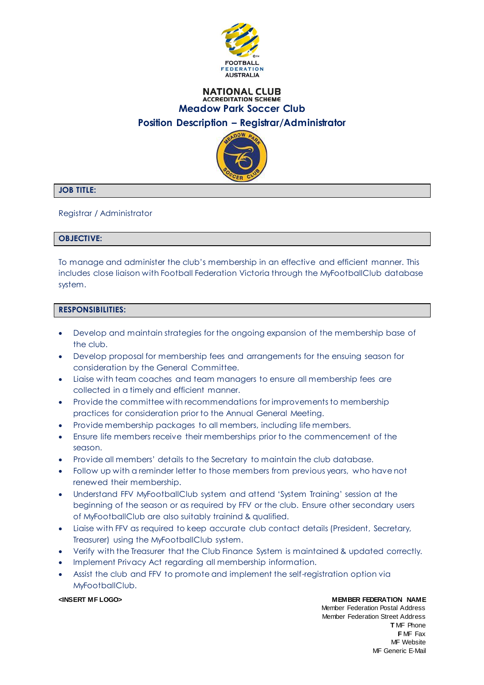

# **NATIONAL CLUB ACCREDITATION SCHEME Meadow Park Soccer Club Position Description – Registrar/Administrator**



# **JOB TITLE:**

Registrar / Administrator

### **OBJECTIVE:**

To manage and administer the club's membership in an effective and efficient manner. This includes close liaison with Football Federation Victoria through the MyFootballClub database system.

### **RESPONSIBILITIES:**

- Develop and maintain strategies for the ongoing expansion of the membership base of the club.
- Develop proposal for membership fees and arrangements for the ensuing season for consideration by the General Committee.
- Liaise with team coaches and team managers to ensure all membership fees are collected in a timely and efficient manner.
- Provide the committee with recommendations for improvements to membership practices for consideration prior to the Annual General Meeting.
- Provide membership packages to all members, including life members.
- Ensure life members receive their memberships prior to the commencement of the season.
- Provide all members' details to the Secretary to maintain the club database.
- Follow up with a reminder letter to those members from previous years, who have not renewed their membership.
- Understand FFV MyFootballClub system and attend 'System Training' session at the beginning of the season or as required by FFV or the club. Ensure other secondary users of MyFootballClub are also suitably trainind & qualified.
- Liaise with FFV as required to keep accurate club contact details (President, Secretary, Treasurer) using the MyFootballClub system.
- Verify with the Treasurer that the Club Finance System is maintained & updated correctly.
- Implement Privacy Act regarding all membership information.
- Assist the club and FFV to promote and implement the self-registration option via MyFootballClub.

**<INSERT MF LOGO> MEMBER FEDERATION NAME** Member Federation Postal Address Member Federation Street Address **T** MF Phone **F** MF Fax MF Website MF Generic E-Mail